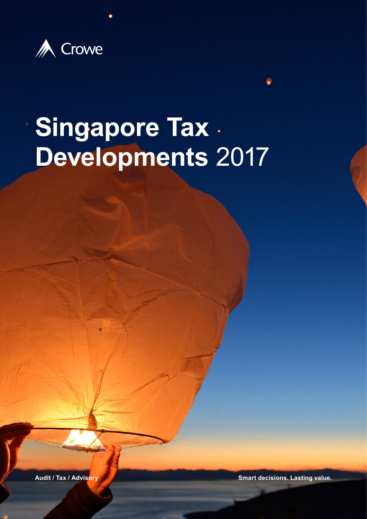

# **Singapore Tax Developments** 2017

**Audit / Tax / Advisory Smart decisions. Lasting value.**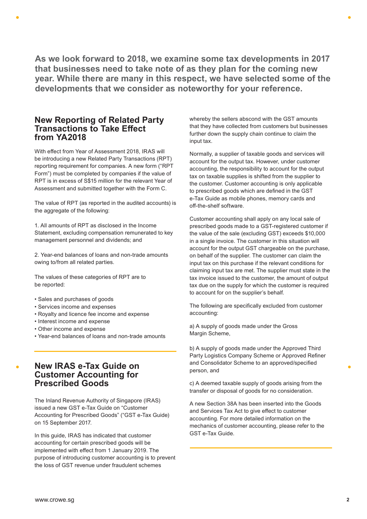**As we look forward to 2018, we examine some tax developments in 2017 that businesses need to take note of as they plan for the coming new year. While there are many in this respect, we have selected some of the developments that we consider as noteworthy for your reference.** 

## **New Reporting of Related Party Transactions to Take Effect from YA2018**

With effect from Year of Assessment 2018, IRAS will be introducing a new Related Party Transactions (RPT) reporting requirement for companies. A new form ("RPT Form") must be completed by companies if the value of RPT is in excess of S\$15 million for the relevant Year of Assessment and submitted together with the Form C.

The value of RPT (as reported in the audited accounts) is the aggregate of the following:

1. All amounts of RPT as disclosed in the Income Statement, excluding compensation remunerated to key management personnel and dividends; and

2. Year-end balances of loans and non-trade amounts owing to/from all related parties.

The values of these categories of RPT are to be reported:

- Sales and purchases of goods
- Services income and expenses
- Royalty and licence fee income and expense
- Interest income and expense
- Other income and expense
- Year-end balances of loans and non-trade amounts

## **New IRAS e-Tax Guide on Customer Accounting for Prescribed Goods**

The Inland Revenue Authority of Singapore (IRAS) issued a new GST e-Tax Guide on "Customer Accounting for Prescribed Goods" ("GST e-Tax Guide) on 15 September 2017.

In this guide, IRAS has indicated that customer accounting for certain prescribed goods will be implemented with effect from 1 January 2019. The purpose of introducing customer accounting is to prevent the loss of GST revenue under fraudulent schemes

whereby the sellers abscond with the GST amounts that they have collected from customers but businesses further down the supply chain continue to claim the input tax.

Normally, a supplier of taxable goods and services will account for the output tax. However, under customer accounting, the responsibility to account for the output tax on taxable supplies is shifted from the supplier to the customer. Customer accounting is only applicable to prescribed goods which are defined in the GST e-Tax Guide as mobile phones, memory cards and off-the-shelf software.

Customer accounting shall apply on any local sale of prescribed goods made to a GST-registered customer if the value of the sale (excluding GST) exceeds \$10,000 in a single invoice. The customer in this situation will account for the output GST chargeable on the purchase, on behalf of the supplier. The customer can claim the input tax on this purchase if the relevant conditions for claiming input tax are met. The supplier must state in the tax invoice issued to the customer, the amount of output tax due on the supply for which the customer is required to account for on the supplier's behalf.

The following are specifically excluded from customer accounting:

a) A supply of goods made under the Gross Margin Scheme,

b) A supply of goods made under the Approved Third Party Logistics Company Scheme or Approved Refiner and Consolidator Scheme to an approved/specified person, and

c) A deemed taxable supply of goods arising from the transfer or disposal of goods for no consideration.

A new Section 38A has been inserted into the Goods and Services Tax Act to give effect to customer accounting. For more detailed information on the mechanics of customer accounting, please refer to the GST e-Tax Guide.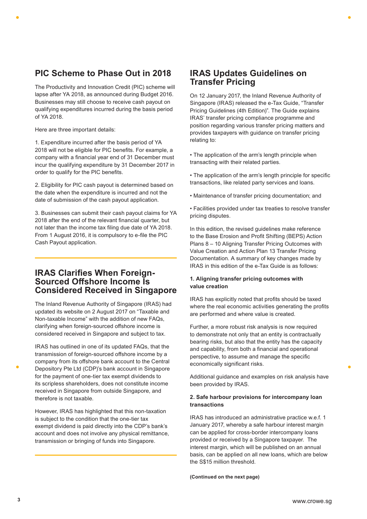## **PIC Scheme to Phase Out in 2018**

The Productivity and Innovation Credit (PIC) scheme will lapse after YA 2018, as announced during Budget 2016. Businesses may still choose to receive cash payout on qualifying expenditures incurred during the basis period of YA 2018.

Here are three important details:

1. Expenditure incurred after the basis period of YA 2018 will not be eligible for PIC benefits. For example, a company with a financial year end of 31 December must incur the qualifying expenditure by 31 December 2017 in order to qualify for the PIC benefits.

2. Eligibility for PIC cash payout is determined based on the date when the expenditure is incurred and not the date of submission of the cash payout application.

3. Businesses can submit their cash payout claims for YA 2018 after the end of the relevant financial quarter, but not later than the income tax filing due date of YA 2018. From 1 August 2016, it is compulsory to e-file the PIC Cash Payout application.

### **IRAS Clarifies When Foreign-Sourced Offshore Income Is Considered Received in Singapore**

The Inland Revenue Authority of Singapore (IRAS) had updated its website on 2 August 2017 on "Taxable and Non-taxable Income" with the addition of new FAQs, clarifying when foreign-sourced offshore income is considered received in Singapore and subject to tax.

IRAS has outlined in one of its updated FAQs, that the transmission of foreign-sourced offshore income by a company from its offshore bank account to the Central Depository Pte Ltd (CDP)'s bank account in Singapore for the payment of one-tier tax exempt dividends to its scripless shareholders, does not constitute income received in Singapore from outside Singapore, and therefore is not taxable.

However, IRAS has highlighted that this non-taxation is subject to the condition that the one-tier tax exempt dividend is paid directly into the CDP's bank's account and does not involve any physical remittance, transmission or bringing of funds into Singapore.

## **IRAS Updates Guidelines on Transfer Pricing**

On 12 January 2017, the Inland Revenue Authority of Singapore (IRAS) released the e-Tax Guide, "Transfer Pricing Guidelines (4th Edition)". The Guide explains IRAS' transfer pricing compliance programme and position regarding various transfer pricing matters and provides taxpayers with guidance on transfer pricing relating to:

• The application of the arm's length principle when transacting with their related parties.

• The application of the arm's length principle for specific transactions, like related party services and loans.

• Maintenance of transfer pricing documentation; and

• Facilities provided under tax treaties to resolve transfer pricing disputes.

In this edition, the revised guidelines make reference to the Base Erosion and Profit Shifting (BEPS) Action Plans 8 – 10 Aligning Transfer Pricing Outcomes with Value Creation and Action Plan 13 Transfer Pricing Documentation. A summary of key changes made by IRAS in this edition of the e-Tax Guide is as follows:

#### **1. Aligning transfer pricing outcomes with value creation**

IRAS has explicitly noted that profits should be taxed where the real economic activities generating the profits are performed and where value is created.

Further, a more robust risk analysis is now required to demonstrate not only that an entity is contractually bearing risks, but also that the entity has the capacity and capability, from both a financial and operational perspective, to assume and manage the specific economically significant risks.

Additional guidance and examples on risk analysis have been provided by IRAS.

#### **2. Safe harbour provisions for intercompany loan transactions**

IRAS has introduced an administrative practice w.e.f. 1 January 2017, whereby a safe harbour interest margin can be applied for cross-border intercompany loans provided or received by a Singapore taxpayer. The interest margin, which will be published on an annual basis, can be applied on all new loans, which are below the S\$15 million threshold.

**(Continued on the next page)**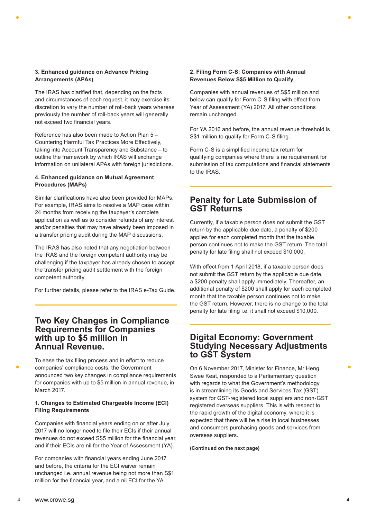#### **3. Enhanced guidance on Advance Pricing Arrangements (APAs)**

The IRAS has clarified that, depending on the facts and circumstances of each request, it may exercise its discretion to vary the number of roll-back years whereas previously the number of roll-back years will generally not exceed two financial years.

Reference has also been made to Action Plan 5 – Countering Harmful Tax Practices More Effectively, taking into Account Transparency and Substance – to outline the framework by which IRAS will exchange information on unilateral APAs with foreign jurisdictions.

#### **4. Enhanced guidance on Mutual Agreement Procedures (MAPs)**

Similar clarifications have also been provided for MAPs. For example, IRAS aims to resolve a MAP case within 24 months from receiving the taxpayer's complete application as well as to consider refunds of any interest and/or penalties that may have already been imposed in a transfer pricing audit during the MAP discussions.

The IRAS has also noted that any negotiation between the IRAS and the foreign competent authority may be challenging if the taxpayer has already chosen to accept the transfer pricing audit settlement with the foreign competent authority.

For further details, please refer to the IRAS e-Tax Guide.

## **Two Key Changes in Compliance Requirements for Companies with up to \$5 million in Annual Revenue.**

To ease the tax filing process and in effort to reduce companies' compliance costs, the Government announced two key changes in compliance requirements for companies with up to \$5 million in annual revenue, in March 2017.

#### **1. Changes to Estimated Chargeable Income (ECI) Filing Requirements**

Companies with financial years ending on or after July 2017 will no longer need to file their ECIs if their annual revenues do not exceed S\$5 million for the financial year, and if their ECIs are nil for the Year of Assessment (YA).

For companies with financial years ending June 2017 and before, the criteria for the ECI waiver remain unchanged i.e. annual revenue being not more than S\$1 million for the financial year, and a nil ECI for the YA.

#### **2. Filing Form C-S: Companies with Annual Revenues Below S\$5 Million to Qualify**

Companies with annual revenues of S\$5 million and below can qualify for Form C-S filing with effect from Year of Assessment (YA) 2017. All other conditions remain unchanged.

For YA 2016 and before, the annual revenue threshold is S\$1 million to qualify for Form C-S filing.

Form C-S is a simplified income tax return for qualifying companies where there is no requirement for submission of tax computations and financial statements to the IRAS.

## **Penalty for Late Submission of GST Returns**

Currently, if a taxable person does not submit the GST return by the applicable due date, a penalty of \$200 applies for each completed month that the taxable person continues not to make the GST return. The total penalty for late filing shall not exceed \$10,000.

With effect from 1 April 2018, if a taxable person does not submit the GST return by the applicable due date, a \$200 penalty shall apply immediately. Thereafter, an additional penalty of \$200 shall apply for each completed month that the taxable person continues not to make the GST return. However, there is no change to the total penalty for late filing i.e. it shall not exceed \$10,000.

## **Digital Economy: Government Studying Necessary Adjustments to GST System**

On 6 November 2017, Minister for Finance, Mr Heng Swee Keat, responded to a Parliamentary question with regards to what the Government's methodology is in streamlining its Goods and Services Tax (GST) system for GST-registered local suppliers and non-GST registered overseas suppliers. This is with respect to the rapid growth of the digital economy, where it is expected that there will be a rise in local businesses and consumers purchasing goods and services from overseas suppliers.

**(Continued on the next page)**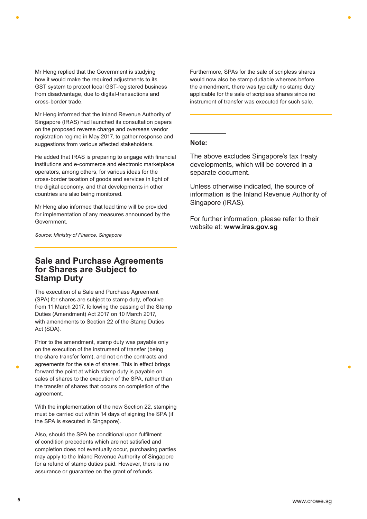Mr Heng replied that the Government is studying how it would make the required adjustments to its GST system to protect local GST-registered business from disadvantage, due to digital-transactions and cross-border trade.

Mr Heng informed that the Inland Revenue Authority of Singapore (IRAS) had launched its consultation papers on the proposed reverse charge and overseas vendor registration regime in May 2017, to gather response and suggestions from various affected stakeholders.

He added that IRAS is preparing to engage with financial institutions and e-commerce and electronic marketplace operators, among others, for various ideas for the cross-border taxation of goods and services in light of the digital economy, and that developments in other countries are also being monitored.

Mr Heng also informed that lead time will be provided for implementation of any measures announced by the Government.

*Source: Ministry of Finance, Singapore*

## **Sale and Purchase Agreements for Shares are Subject to Stamp Duty**

The execution of a Sale and Purchase Agreement (SPA) for shares are subject to stamp duty, effective from 11 March 2017, following the passing of the Stamp Duties (Amendment) Act 2017 on 10 March 2017, with amendments to Section 22 of the Stamp Duties Act (SDA).

Prior to the amendment, stamp duty was payable only on the execution of the instrument of transfer (being the share transfer form), and not on the contracts and agreements for the sale of shares. This in effect brings forward the point at which stamp duty is payable on sales of shares to the execution of the SPA, rather than the transfer of shares that occurs on completion of the agreement.

With the implementation of the new Section 22, stamping must be carried out within 14 days of signing the SPA (if the SPA is executed in Singapore).

Also, should the SPA be conditional upon fulfilment of condition precedents which are not satisfied and completion does not eventually occur, purchasing parties may apply to the Inland Revenue Authority of Singapore for a refund of stamp duties paid. However, there is no assurance or guarantee on the grant of refunds.

Furthermore, SPAs for the sale of scripless shares would now also be stamp dutiable whereas before the amendment, there was typically no stamp duty applicable for the sale of scripless shares since no instrument of transfer was executed for such sale.

#### **Note:**

The above excludes Singapore's tax treaty developments, which will be covered in a separate document.

Unless otherwise indicated, the source of information is the Inland Revenue Authority of Singapore (IRAS).

For further information, please refer to their website at: **www.iras.gov.sg**